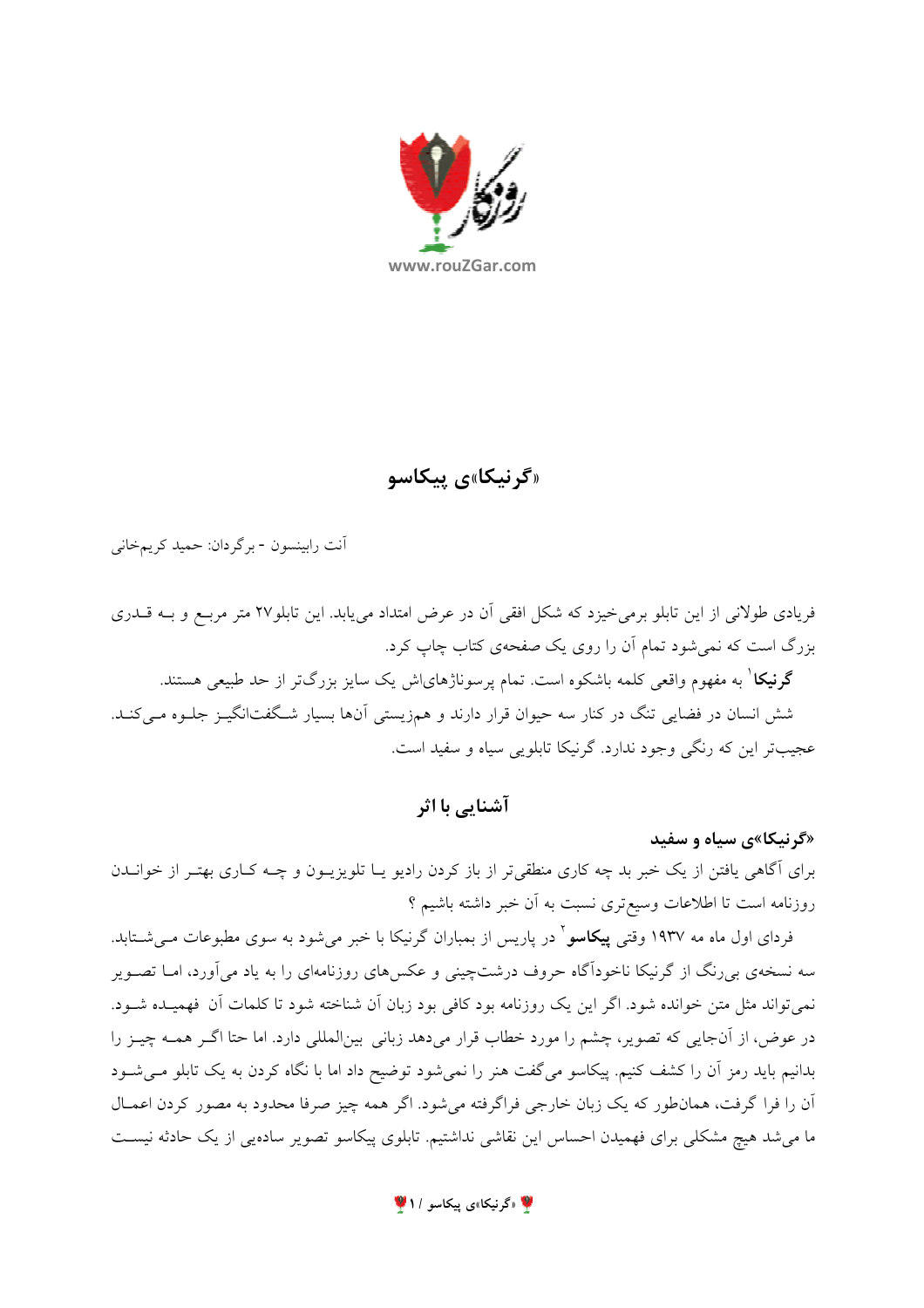

«گرنیکا»ی پیکاسو

آنت رابينسون - برگر دان: حميد كريمخاني

فریادی طولانی از این تابلو برمی خیزد که شکل افقی آن در عرض امتداد می یابد. این تابلو۲۷ متر مربـع و بــه قــدری بزرگ است که نمی شود تمام آن را روی یک صفحهی کتاب چاپ کرد.

**گرنیکا** ٰ به مفهوم واقعی کلمه باشکوه است. تمام پرسوناژهایاش یک سایز بزرگتر از حد طبیعی هستند. شش انسان در فضایی تنگ در کنار سه حیوان قرار دارند و همزیستی آنها بسیار شـگفتانگیــز جلــوه مــیکنــد. عجيبتر اين كه رنگي وجود ندارد. گرنيكا تابلويي سياه و سفيد است.

آشنایی با اثر

«گرنیکا»ی سیاه و سفید

برای آگاهی یافتن از یک خبر بد چه کاری منطقی تر از باز کردن رادیو یـا تلویزیــون و چــه کــاری بهتـر از خوانــدن روزنامه است تا اطلاعات وسیعتری نسبت به أن خبر داشته باشیم ؟

فردای اول ماه مه ۱۹۳۷ وقتی **پیکاسو**<sup>۲</sup> در پاریس از بمباران گرنیکا با خبر میشود به سوی مطبوعات مــیشــتابد. سه نسخهی بی رنگ از گرنیکا ناخودآگاه حروف درشتچینی و عکسهای روزنامهای را به یاد می آورد، امــا تصــویر نمی تواند مثل متن خوانده شود. اگر این یک روزنامه بود کافی بود زبان آن شناخته شود تا کلمات آن فهمیـده شـود. در عوض، از آنجایی که تصویر، چشم را مورد خطاب قرار میدهد زبانی بینالمللی دارد. اما حتا اگـر همـه چیـز را بدانیم باید رمز آن را کشف کنیم. پیکاسو میگفت هنر را نمیشود توضیح داد اما با نگاه کردن به یک تابلو مـیشـود أن را فرا گرفت، همانطور که یک زبان خارجی فراگرفته می شود. اگر همه چیز صرفا محدود به مصور کردن اعمـال ما میشد هیچ مشکلی برای فهمیدن احساس این نقاشی نداشتیم. تابلوی پیکاسو تصویر سادهیی از یک حادثه نیسـت

**۱/ «گرنیکا»ی پیکاسو / ۱**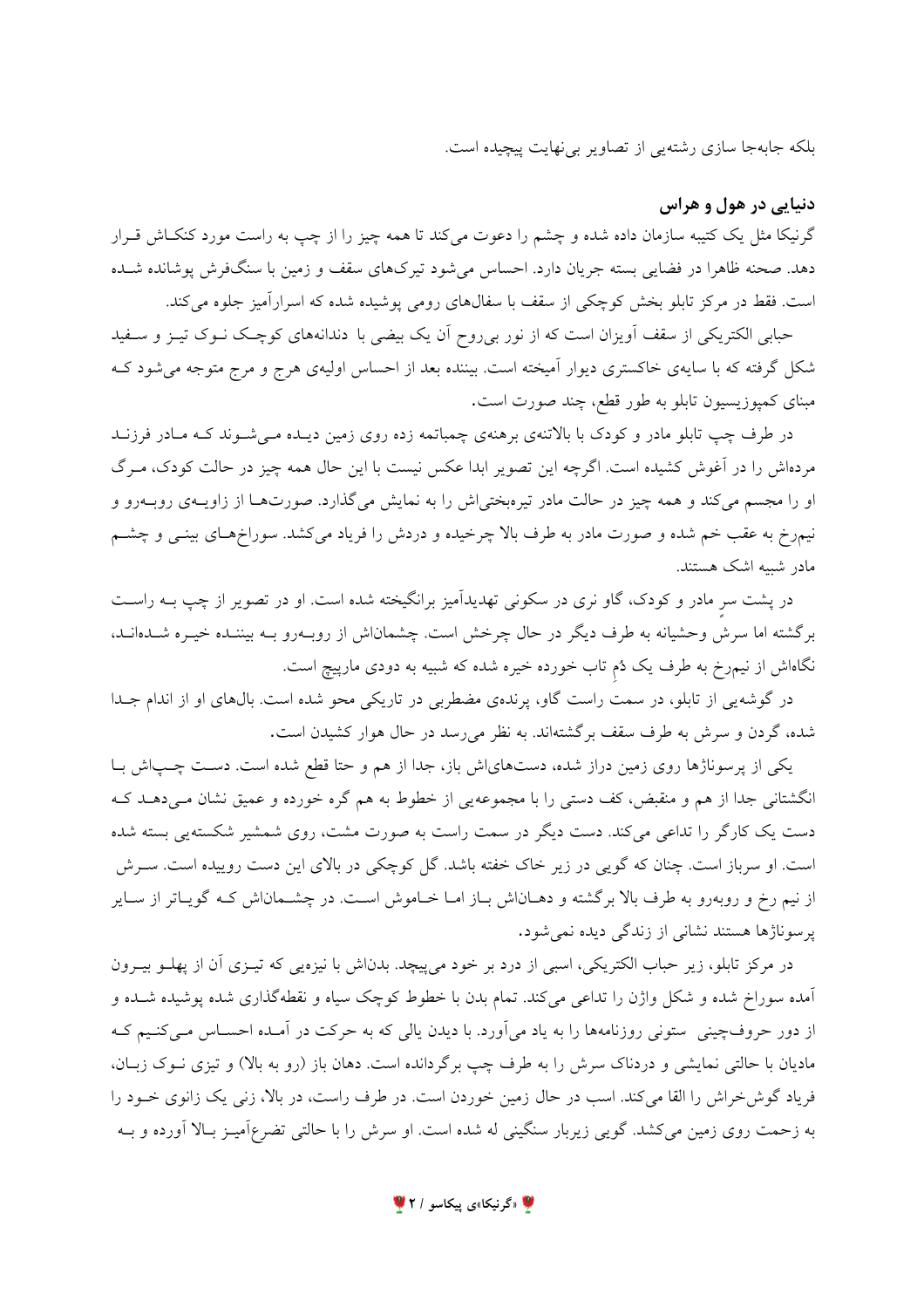بلکه جابهجا سازی رشتهیی از تصاویر بی نهایت پیچیده است.

دنیایی در هول و هراس

گرنیکا مثل یک کتیبه سازمان داده شده و چشم را دعوت میکند تا همه چیز را از چپ به راست مورد کنکاش قـرار دهد. صحنه ظاهرا در فضایی بسته جریان دارد. احساس میشود تیرکهای سقف و زمین با سنگفرش پوشانده شــده است. فقط در مرکز تابلو بخش کوچکی از سقف با سفالهای رومی پوشیده شده که اسرارآمیز جلوه می کند.

حبابی الکتریکی از سقف آویزان است که از نور بی روح آن یک بیضی با دندانههای کوچـک نــوک تیــز و ســفید شکل گرفته که با سایهی خاکستری دیوار آمیخته است. بیننده بعد از احساس اولیهی هرج و مرج متوجه میشود کـه مبنای کمپوزیسیون تابلو به طور قطع، چند صورت است.

در طرف چپ تابلو مادر و کودک با بالاتنهی برهنهی چمباتمه زده روی زمین دیـده مـیشـوند کـه مـادر فرزنـد مردهاش را در آغوش کشیده است. اگرچه این تصویر ابدا عکس نیست با این حال همه چیز در حالت کودک، مـرگ او را مجسم می کند و همه چیز در حالت مادر تیرهبختی اش را به نمایش می گذارد. صورتها از زاویـهی روبـهرو و نیمرخ به عقب خم شده و صورت مادر به طرف بالا چرخیده و دردش را فریاد میکشد. سوراخهـای بینـی و چشـم مادر شبیه اشک هستند.

در پشت سر مادر و کودک، گاو نری در سکونی تهدیدآمیز برانگیخته شده است. او در تصویر از چپ بــه راســت برگشته اما سرش وحشیانه به طرف دیگر در حال چرخش است. چشماناش از روبـهرو بـه بیننـده خیـره شــدهانـد، نگاهاش از نیمرخ به طرف یک دُم تاب خورده خیره شده که شبیه به دودی مارپیچ است.

در گوشه یی از تابلو، در سمت راست گاو، پرندهی مضطربی در تاریکی محو شده است. بالهای او از اندام جــدا شده، گردن و سرش به طرف سقف برگشتهاند. به نظر میرسد در حال هوار کشیدن است.

یکی از پرسوناژها روی زمین دراز شده، دستهایاش باز، جدا از هم و حتا قطع شده است. دست چـباش بـا انگشتانی جدا از هم و منقبض، کف دستی را با مجموعهیی از خطوط به هم گره خورده و عمیق نشان مـیدهــد کــه دست یک کارگر را تداعی میکند. دست دیگر در سمت راست به صورت مشت، روی شمشیر شکسته یی بسته شده است. او سرباز است. چنان که گویی در زیر خاک خفته باشد. گل کوچکی در بالای این دست روییده است. سـرش از نیم رخ و روبهرو به طرف بالا برگشته و دهــاناش بــاز امــا خــاموش اســت. در چشــماناش کــه گویــاتر از ســایر یرسوناژها هستند نشانی از زندگی دیده نمی شود.

در مرکز تابلو، زیر حباب الکتریکی، اسبی از درد بر خود می پیچد. بدناش با نیزهیی که تیـزی آن از پهلـو بیـرون آمده سوراخ شده و شکل واژن را تداعی میکند. تمام بدن با خطوط کوچک سیاه و نقطهگذاری شده پوشیده شــده و از دور حروفچینی ٍ ستونی روزنامهها را به یاد می آورد. با دیدن پالی که به حرکت در آمـده احسـاس مـی کنـیم کـه مادیان با حالتی نمایشی و دردناک سرش را به طرف چپ برگردانده است. دهان باز (رو به بالا) و تیزی نـوک زبـان، فرياد گوش خراش را القا مي كند. اسب در حال زمين خوردن است. در طرف راست، در بالا، زني يک زانوي خــود را به زحمت روی زمین میکشد. گویی زیربار سنگینی له شده است. او سرش را با حالتی تضرعآمیـز بـالا آورده و بــه

**۱۷** «گرنیکا»ی پیکاسو / ۲ <sup>۷</sup>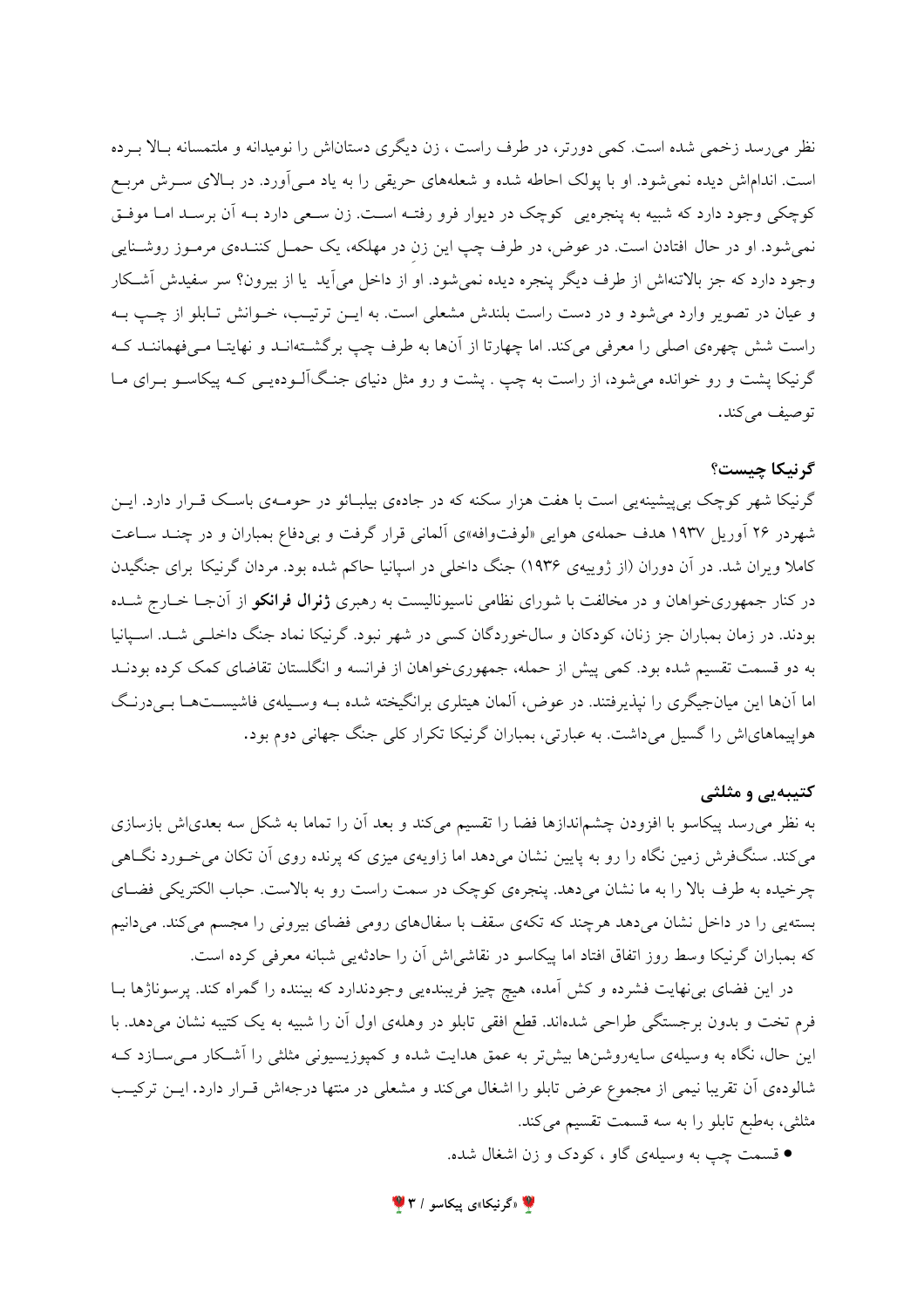نظر می رسد زخمی شده است. کمی دورتر، در طرف راست ، زن دیگری دستاناش را نومیدانه و ملتمسانه بـالا بـرده است. انداماش دیده نمی شود. او با یولک احاطه شده و شعلههای حریقی را به یاد مـی آورد. در بـالای سـرش مربـع کوچکی وجود دارد که شبیه به پنجرهیی کوچک در دیوار فرو رفتـه اسـت. زن سـعی دارد بـه آن برسـد امـا موفـق نمیشود. او در حال افتادن است. در عوض، در طرف چپ این زن در مهلکه، یک حمـل کننـدهی مرمـوز روشـنایی وجود دارد که جز بالاتنهاش از طرف دیگر پنجره دیده نمی شود. او از داخل می آید یا از بیرون؟ سر سفیدش آشکار و عیان در تصویر وارد می شود و در دست راست بلندش مشعلی است. به ایـن ترتیـب، خـوانش تـابلو از چـب بـه راست شش چهرهی اصلی را معرفی میکند. اما چهارتا از آنها به طرف چپ برگشـتهانـد و نهایتـا مـیفهماننـد کـه گرنیکا پشت و رو خوانده میشود، از راست به چپ . پشت و رو مثل دنیای جنگآلـودهیـی کـه پیکاسـو بـرای مـا توصيف مي كند.

## گرنيكا چيست؟

گرنیکا شهر کوچک بی پیشینه پی است با هفت هزار سکنه که در جادهی بیلبـائو در حومـهی باسـک قـرار دارد. ایـن شهر در ۲۶ آوریل ۱۹۳۷ هدف حملهی هوایی «لوفتوافه»ی آلمانی قرار گرفت و بی دفاع بمباران و در چنـد سـاعت کاملا ویران شد. در آن دوران (از ژوییهی ۱۹۳۶) جنگ داخلی در اسپانیا حاکم شده بود. مردان گرنیکا برای جنگیدن در کنار جمهوریخواهان و در مخالفت با شورای نظامی ناسیونالیست به رهبری **ژنرال فرانکو** از آنجـا خــارج شــده بودند. در زمان بمباران جز زنان، کودکان و سال خوردگان کسی در شهر نبود. گرنیکا نماد جنگ داخلـی شـد. اسـیانیا به دو قسمت تقسیم شده بود. کمی پیش از حمله، جمهوریخواهان از فرانسه و انگلستان تقاضای کمک کرده بودنـد اما آنها این میانجیگری را نپذیرفتند. در عوض، آلمان هیتلری برانگیخته شده بـه وسـیلهی فاشیسـتهـا بـیدرنـگ هواپیماهای اش را گسیل میداشت. به عبارتی، بمباران گرنیکا تکرار کلی جنگ جهانی دوم بود.

## کتیبهیی و مثلثی

به نظر می رسد پیکاسو با افزودن چشماندازها فضا را تقسیم می کند و بعد آن را تماما به شکل سه بعدی\ش بازسازی می کند. سنگفرش زمین نگاه را رو به پایین نشان می دهد اما زاویهی میزی که پرنده روی آن تکان می خـورد نگـاهی چرخیده به طرف بالا را به ما نشان میدهد. پنجرهی کوچک در سمت راست رو به بالاست. حباب الکتریکی فضای بسته یی را در داخل نشان میدهد هرچند که تکهی سقف با سفالهای رومی فضای بیرونی را مجسم میکند. میدانیم که بمباران گرنیکا وسط روز اتفاق افتاد اما پیکاسو در نقاشیاش آن را حادثه یی شبانه معرفی کرده است.

در این فضای بی نهایت فشرده و کش آمده، هیچ چیز فریبندهیی وجودندارد که بیننده را گمراه کند. پرسوناژها بـا فرم تخت و بدون برجستگی طراحی شدهاند. قطع افقی تابلو در وهلهی اول آن را شبیه به یک کتیبه نشان میدهد. با این حال، نگاه به وسیلهی سایهروشنها بیشتر به عمق هدایت شده و کمپوزیسیونی مثلثی را آشکار می سازد ک شالودهی آن تقریبا نیمی از مجموع عرض تابلو را اشغال میکند و مشعلی در منتها درجهاش قـرار دارد. ایــن ترکیـب مثلثی، بهطبع تابلو را به سه قسمت تقسیم میکند.

● قسمت چپ به وسیلهی گاو ، کودک و زن اشغال شده.

۴ «گرنیکا»ی پیکاسو / ۳ <sup>۱</sup>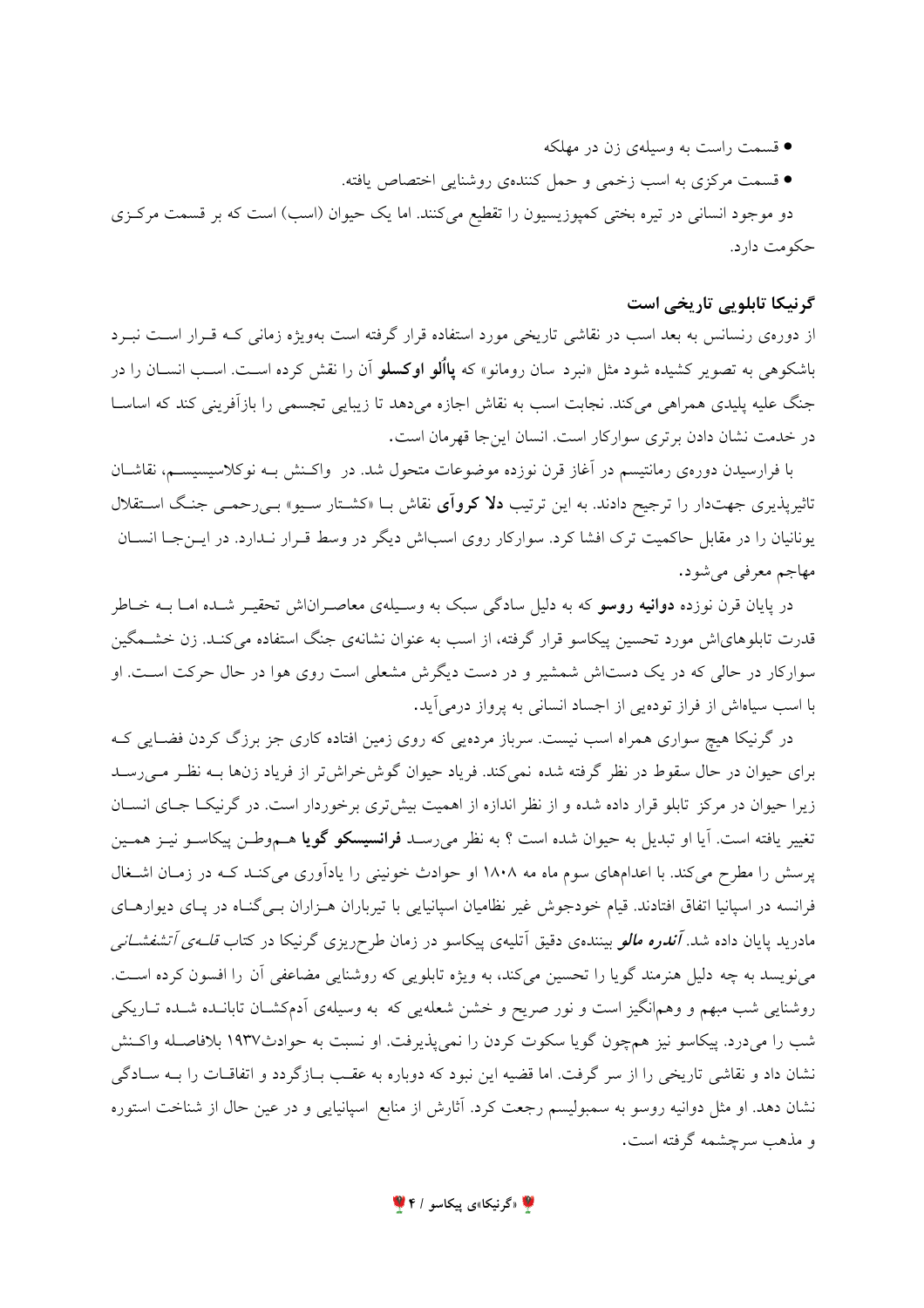● قسمت راست به وسیلهی زن در مهلکه ● قسمت مركزي به اسب زخمي و حمل كنندهي روشنايي اختصاص يافته. دو موجود انسانی در تیره بختی کمپوزیسیون را تقطیع میکنند. اما یک حیوان (اسب) است که بر قسمت مرکزی حکومت دارد.

## گرنيكا تابلويي تاريخي است

از دورهی رنسانس به بعد اسب در نقاشی تاریخی مورد استفاده قرار گرفته است بهویژه زمانی کـه قـرار اسـت نبـرد باشکوهی به تصویر کشیده شود مثل «نبرد سان رومانو» که **یااُلو اوکسلو** آن را نقش کرده اسـت. اسـب انســان را در جنگ علیه پلیدی همراهی میکند. نجابت اسب به نقاش اجازه میدهد تا زیبایی تجسمی را بازآفرینی کند که اساسـا در خدمت نشان دادن برتری سوارکار است. انسان اینجا قهرمان است.

با فرارسیدن دورهی رمانتیسم در آغاز قرن نوزده موضوعات متحول شد. در واکـنش بـه نوکلاسیسیســم، نقاشــان تاثیرپذیری جهتدار را ترجیح دادند. به این ترتیب **دلا کروآی** نقاش بــا «کشـتار سـیو» بــیرحمــی جنـگ اسـتقلال یونانیان را در مقابل حاکمیت ترک افشا کرد. سوارکار روی اسباش دیگر در وسط قـرار نـدارد. در ایــنجــا انســان مهاجم معرفی می شود.

در پایان قرن نوزده <mark>دوانیه روسو</mark> که به دلیل سادگی سبک به وسـیلهی معاصـراناش تحقیـر شـده امـا بــه خــاطر قدرت تابلوهای اش مورد تحسین پیکاسو قرار گرفته، از اسب به عنوان نشانهی جنگ استفاده می کنـد. زن خشــمگین سوارکار در حالی که در یک دستاش شمشیر و در دست دیگرش مشعلی است روی هوا در حال حرکت است. او با اسب سیاهاش از فراز تودهیی از اجساد انسانی به پرواز درمی آید.

در گرنیکا هیچ سواری همراه اسب نیست. سرباز مردهیی که روی زمین افتاده کاری جز برزگ کردن فضـایی کـه برای حیوان در حال سقوط در نظر گرفته شده نمی کند. فریاد حیوان گوش خراش تر از فریاد زنها بـه نظـر مـی رسـد زیرا حیوان در مرکز تابلو قرار داده شده و از نظر اندازه از اهمیت بیشتری برخوردار است. در گرنیکـا جـای انســان تغییر یافته است. آیا او تبدیل به حیوان شده است ؟ به نظر میرسـد **فرانسیسکو گویا** هــموطـن پیکاسـو نیـز همــین پرسش را مطرح میکند. با اعدامهای سوم ماه مه ۱۸۰۸ او حوادث خونینی را یادآوری می کنـد کـه در زمـان اشـغال فرانسه در اسپانیا اتفاق افتادند. قیام خودجوش غیر نظامیان اسپانیایی با تیرباران هـزاران بـی گنـاه در پـای دیوارهـای مادرید پایان داده شد. *آندره مالو* بینندهی دقیق آتلیهی پیکاسو در زمان طرحریزی گرنیکا در کتاب *قلـهی آتشفشـانی* می نویسد به چه دلیل هنرمند گویا را تحسین می کند، به ویژه تابلویی که روشنایی مضاعفی آن را افسون کرده است. روشنایی شب مبهم و وهمانگیز است و نور صریح و خشن شعلهیی که به وسیلهی اَدمکشـان تابانـده شـده تـاریکی شب را میدرد. پیکاسو نیز همچون گویا سکوت کردن را نمیپذیرفت. او نسبت به حوادث١٩٣٧ بلافاصـله واکـنش نشان داد و نقاشی تاریخی را از سر گرفت. اما قضیه این نبود که دوباره به عقب بـازگردد و اتفاقـات را بـه سـادگی نشان دهد. او مثل دوانیه روسو به سمبولیسم رجعت کرد. آثارش از منابع اسپانیایی و در عین حال از شناخت استوره و مذهب سرچشمه گرفته است.

۱ «گرنیکا»ی پیکاسو / ۴ <sup>۱</sup>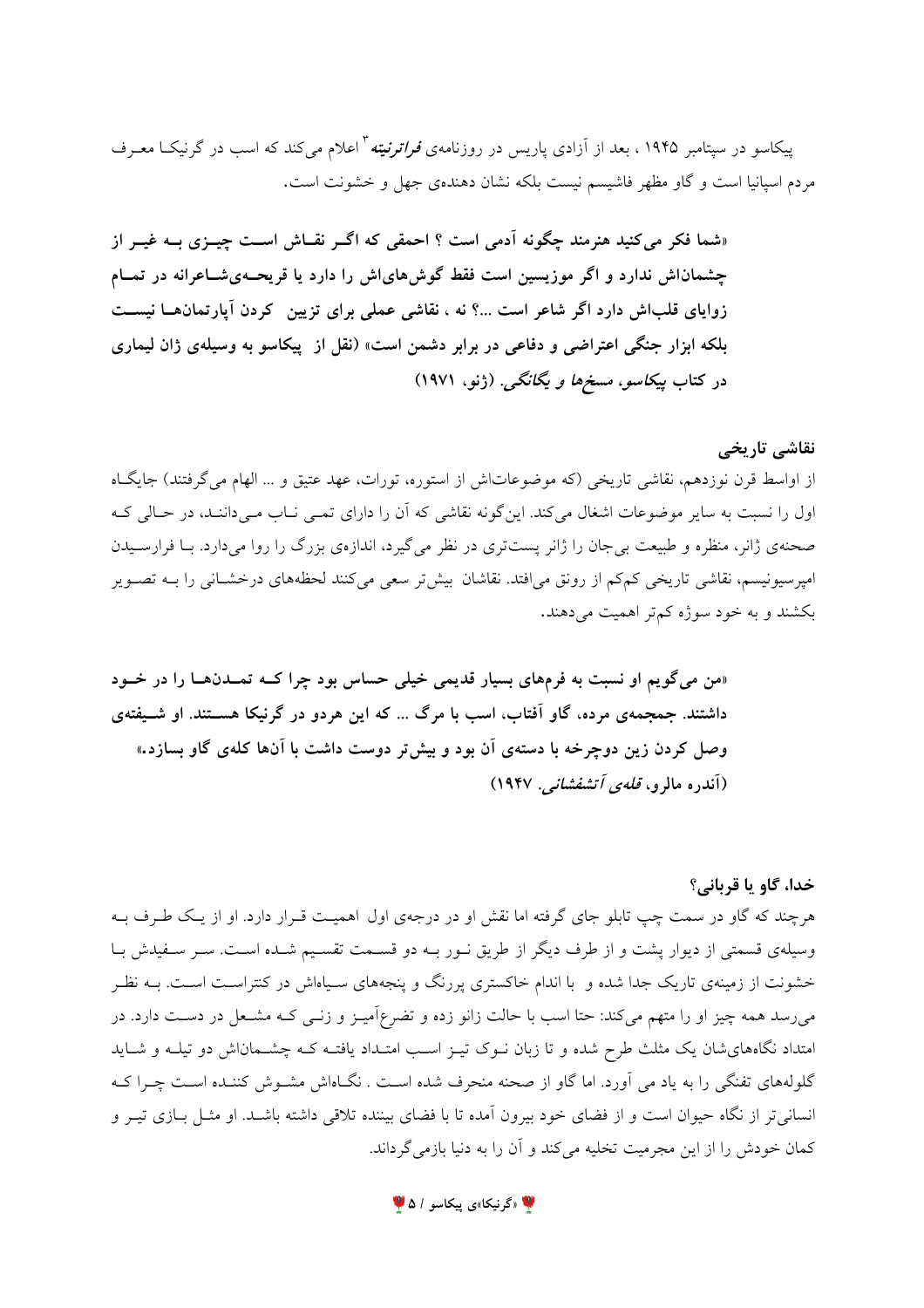پیکاسو در سیتامبر ۱۹۴۵ ، بعد از آزادی پاریس در روزنامهی *فراترنیته <sup>۳</sup> اعلام می کند که اسب در گرنیک*ا معـرف مردم اسپانیا است و گاو مظهر فاشیسم نیست بلکه نشان دهندهی جهل و خشونت است.

«شما فکر می کنید هنرمند چگونه آدمی است ؟ احمقی که اگـر نقـاش اسـت چیــزی بــه غیــر از چشماناش ندارد و اگر موزیسین است فقط گوش۵ایاش را دارد یا قریحـهیشــاعرانه در تمــام زوایای قلباش دارد اگر شاعر است ...؟ نه ، نقاشی عملی برای تزیین کردن آپارتمانهــا نیســت بلکه ابزار جنگی اعتراضی و دفاعی در برابر دشمن است» (نقل از پیکاسو به وسیلهی ژان لیماری در کتاب پی*کاسو، مسخها و یگانگی.* (ژنو، ۱۹۷۱)

#### نقاشی تاریخی

از اواسط قرن نوزدهم، نقاشی تاریخی (که موضوعاتاش از استوره، تورات، عهد عتیق و ... الهام میگرفتند) جایگاه اول را نسبت به سایر موضوعات اشغال می کند. این گونه نقاشی که آن را دارای تمبی نباب مبی داننید، در حیالی کیه صحنهی ژانر، منظره و طبیعت بیجان را ژانر پستتری در نظر میگیرد، اندازهی بزرگ را روا میدارد. بـا فرارسـیدن امپرسیونیسم، نقاشی تاریخی کمکم از رونق میافتد. نقاشان بیشتر سعی میکنند لحظههای درخشـانی را بـه تصـویر بکشند و به خود سوژه کمتر اهمیت می دهند.

«من میگویم او نسبت به فرمهای بسیار قدیمی خیلی حساس بود چرا کــه تمــدنهــا را در خــود داشتند. جمجمهی مرده، گاو آفتاب، اسب با مرگ ... که این هردو در گرنیکا هســتند. او شــیفتهی وصل کردن زین دوچرخه با دستهی آن بود و بیش تر دوست داشت با آنها کلهی گاو بسازد.» (آندره مالرو، ق*لهی آتشفشانی*. ۱۹۴۷)

## خدا، گاو يا قرباني؟

هرچند که گاو در سمت چپ تابلو جای گرفته اما نقش او در درجهی اول اهمیت قـرار دارد. او از یـک طـرف بــه وسیلهی قسمتی از دیوار پشت و از طرف دیگر از طریق نـور بـه دو قسـمت تقسـیم شـده اسـت. سـر سـفیدش بـا خشونت از زمینهی تاریک جدا شده و با اندام خاکستری پررنگ و پنجههای سـپاهاش در کنتراسـت اسـت. بــه نظـر میرسد همه چیز او را متهم میکند: حتا اسب با حالت زانو زده و تضرعاًمیـز و زنـبی کـه مشـعل در دسـت دارد. در امتداد نگاههای شان یک مثلث طرح شده و تا زبان نـوک تیـز اسـب امتـداد یافتـه کـه چشــمان|ش دو تیلـه و شــاید گلولههای تفنگی را به یاد می آورد. اما گاو از صحنه منحرف شده است . نگـاهاش مشـوش کننـده اسـت چـرا کـه انسانی تر از نگاه حیوان است و از فضای خود بیرون آمده تا با فضای بیننده تلاقی داشته باشـد. او مثــل بــازی تیــر و كمان خودش را از اين مجرميت تخليه مي كند و آن را به دنيا بازمي گرداند.

ه «گرنیکا»ی پیکاسو / ۵ <sup>م</sup>ا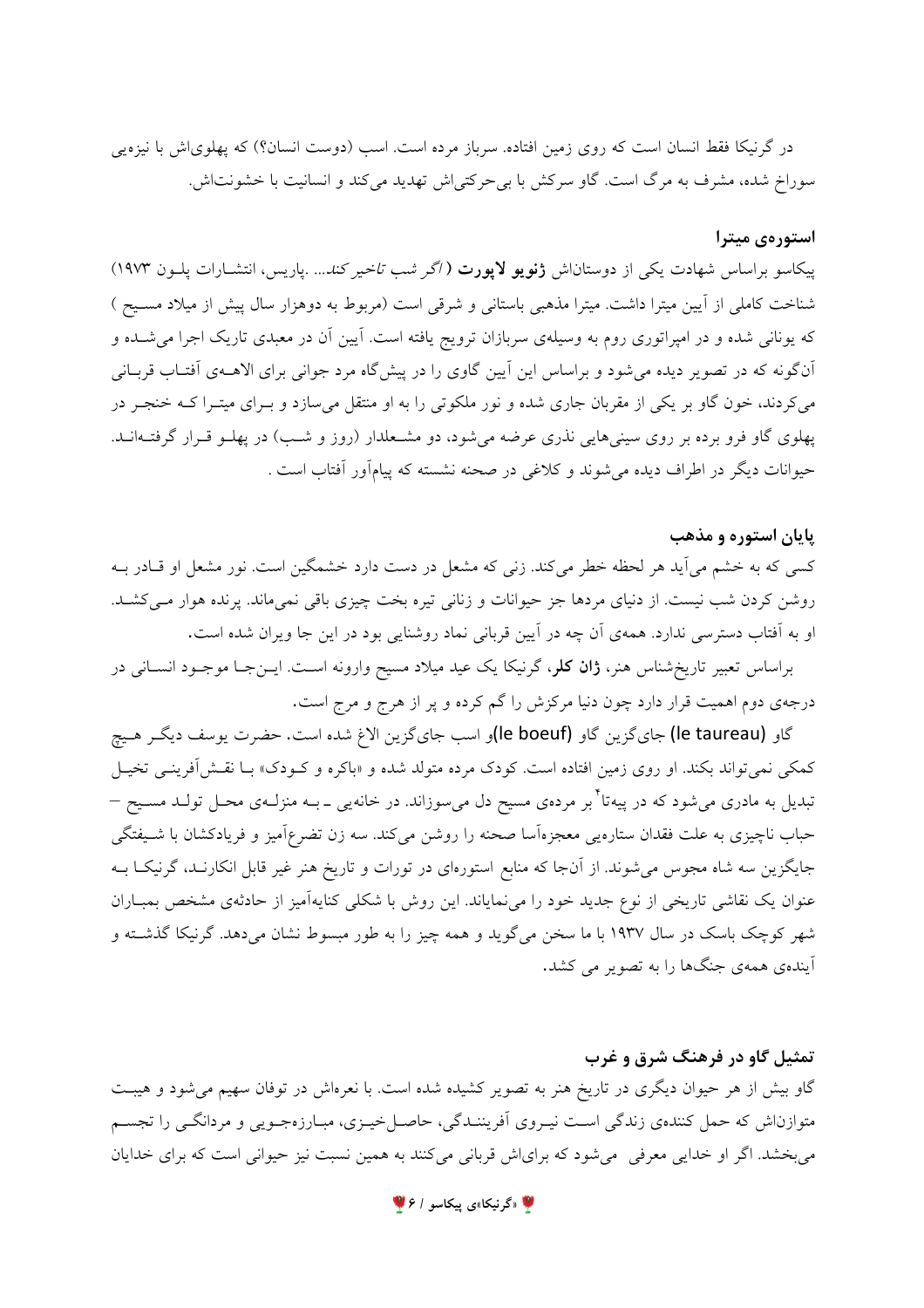در گرنیکا فقط انسان است که روی زمین افتاده. سرباز مرده است. اسب (دوست انسان؟) که پهلویاش با نیزهیی سوراخ شده، مشرف به مرگ است. گاو سرکش با بی حرکتی اش تهدید می کند و انسانیت با خشونت اش.

#### استورەي ميترا

پیکاسو براساس شهادت یکی از دوستاناش **ژنویو لاپورت** ( *اگر شب تاخیر کند...* .پاریس، انتشـارات پلــون ۱۹۷۳) شناخت کاملی از آیین میترا داشت. میترا مذهبی باستانی و شرقی است (مربوط به دوهزار سال پیش از میلاد مسـیح ) که یونانی شده و در امپراتوری روم به وسیلهی سربازان ترویج یافته است. آیین آن در معبدی تاریک اجرا می شـده و آنگونه که در تصویر دیده می شود و براساس این آیین گاوی را در پیش گاه مرد جوانی برای الاهـهی آفتـاب قربـانی میکردند، خون گاو بر یکی از مقربان جاری شده و نور ملکوتی را به او منتقل میسازد و بـرای میتـرا کــه خنجـر در پهلوی گاو فرو برده بر روی سینیهایی نذری عرضه میشود، دو مشـعلدار (روز و شـب) در پهلـو قـرار گرفتـهانــد. حیوانات دیگر در اطراف دیده میشوند و کلاغی در صحنه نشسته که پیامآور آفتاب است .

## یایان استوره و مذهب

کسی که به خشم می آید هر لحظه خطر می کند. زنی که مشعل در دست دارد خشمگین است. نور مشعل او قـادر بـه روشن کردن شب نیست. از دنیای مردها جز حیوانات و زنانی تیره بخت چیزی باقی نمیماند. پرنده هوار می کشـد. او به آفتاب دسترسی ندارد. همهی آن چه در آیین قربانی نماد روشنایی بود در این جا ویران شده است.

براساس تعبیر تاریخشناس هنر، **ژان کلر**، گرنیکا یک عید میلاد مسیح وارونه اسـت. ایــنجـا موجــود انســانی در درجهی دوم اهمیت قرار دارد چون دنیا مرکزش را گم کرده و پر از هرج و مرج است.

گاو (le taureau) جاي گزين گاو (le boeuf)و اسب جاي گزين الاغ شده است. حضرت يوسف ديگـر هـيچ کمکی نمی تواند بکند. او روی زمین افتاده است. کودک مرده متولد شده و «باکره و کـودک» بـا نقـش[فرینـی تخیـل تبدیل به مادری میشود که در پیهتا<sup>\*</sup>بر مردهی مسیح دل میسوزاند. در خانهی<sub>ی</sub> ــ بــه منزلــهی محــل تولــد مســیح <sup>ــ</sup> حباب ناچیزی به علت فقدان ستارهی<sub>می</sub> معجزهآسا صحنه را روشن میکند. سه زن تضرعآمیز و فریادکشان با شـیفتگی جایگزین سه شاه مجوس میشوند. از آنجا که منابع استورهای در تورات و تاریخ هنر غیر قابل انکارنـد، گرنیکـا بــه عنوان یک نقاشی تاریخی از نوع جدید خود را می نمایاند. این روش با شکلی کنایهآمیز از حادثهی مشخص بمبـاران شهر کوچک باسک در سال ۱۹۳۷ با ما سخن میگوید و همه چیز را به طور مبسوط نشان میدهد. گرنیکا گذشته و آیندهی همهی جنگها را به تصویر می کشد.

# تمثیل گاو در فرهنگ شرق و غرب

گاو بیش از هر حیوان دیگری در تاریخ هنر به تصویر کشیده شده است. با نعرماش در توفان سهیم می شود و هیبت متوازناش که حمل کنندهی زندگی است نیـروی اَفریننـدگی، حاصـلخیـزی، مبـارزهجـویی و مردانگـی را تجسـم می بخشد. اگر او خدایی معرفی می شود که برای اش قربانی میکنند به همین نسبت نیز حیوانی است که برای خدایان

**پ** «گرنیکا»ی پیکاسو / ۶ ک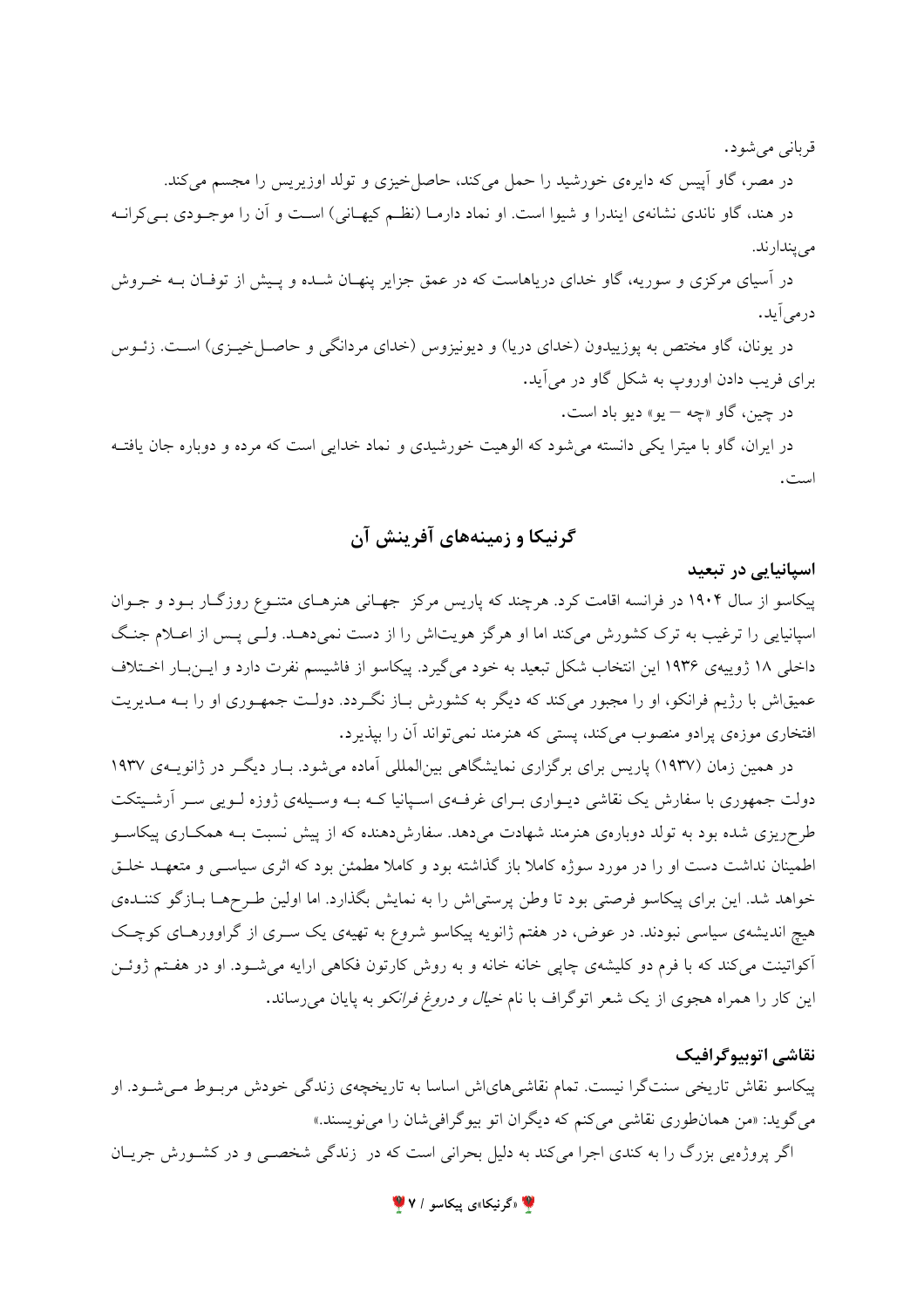قرباني مي شو د.

در مصر، گاو اَپیس که دایرهی خورشید را حمل میکند، حاصلخیزی و تولد اوزیریس را مجسم میکند. در هند، گاو ناندی نشانهی ایندرا و شیوا است. او نماد دارمـا (نظـم کیهـانی) اسـت و آن را موجـودی بـی کرانـه مى يندارند.

در اسپای مرکزی و سوریه، گاو خدای دریاهاست که در عمق جزایر پنهـان شــده و پــیش از توفـان بــه خــروش درم*ی*آید.

در یونان، گاو مختص به پوزییدون (خدای دریا) و دیونیزوس (خدای مردانگی و حاصـلخیـزی) اسـت. زئـوس برای فریب دادن اوروپ به شکل گاو در می آید.

در چين، گاو «چه – يو» ديو باد است.

در ایران، گاو با میترا یکی دانسته می شود که الوهیت خورشیدی و نماد خدایی است که مرده و دوباره جان یافتـه است.

## گرنيکا و زمينههاي آفرينش آن

اسیانیایی در تبعید

پیکاسو از سال ۱۹۰۴ در فرانسه اقامت کرد. هرچند که پاریس مرکز جهـانی هنرهـای متنـوع روزگـار بـود و جـوان اسپانیایی را ترغیب به ترک کشورش میکند اما او هرگز هویتاش را از دست نمیدهـد. ولـی پـس از اعـلام جنـگ داخلی ۱۸ ژوییهی ۱۹۳۶ این انتخاب شکل تبعید به خود میگیرد. پیکاسو از فاشیسم نفرت دارد و ایـنبـار اخـتلاف عمیقاش با رژیم فرانکو، او را مجبور میکند که دیگر به کشورش بـاز نگـردد. دولـت جمهـوری او را بـه مـدیریت افتخاری موزهی پرادو منصوب میکند، پستی که هنرمند نمیتواند آن را بپذیرد.

در همین زمان (۱۹۳۷) پاریس برای برگزاری نمایشگاهی بینالمللی اَماده میشود. بـار دیگـر در ژانویــهی ۱۹۳۷ دولت جمهوری با سفارش یک نقاشی دیــواری بــرای غرفــهی اســپانیا کــه بــه وســیلهی ژوزه لــویی ســر آرشــیتکت طرحریزی شده بود به تولد دوبارهی هنرمند شهادت میدهد. سفارشدهنده که از پیش نسبت بـه همکـاری پیکاسـو اطمینان نداشت دست او را در مورد سوژه کاملا باز گذاشته بود و کاملا مطمئن بود که اثری سیاسـی و متعهـد خلـق خواهد شد. این برای پیکاسو فرصتی بود تا وطن پرستی|ش را به نمایش بگذارد. اما اولین طـرحهـا بـازگو کننــدهی هیچ اندیشهی سیاسی نبودند. در عوض، در هفتم ژانویه پیکاسو شروع به تهیهی یک سـری از گراوورهـای کوچـک آکواتینت میکند که با فرم دو کلیشهی چاپی خانه خانه و به روش کارتون فکاهی ارایه میشود. او در هفتم ژوئـن این کار را همراه هجوی از یک شعر اتوگراف با نام *خیال و دروغ فرانکو* به پایان میرساند.

#### نقاشي اتوبيوگرافيک

پیکاسو نقاش تاریخی سنتگرا نیست. تمام نقاشیهایاش اساسا به تاریخچهی زندگی خودش مربـوط مـیشـود. او میگوید: «من همانطوری نقاشی میکنم که دیگران اتو بیوگرافیشان را می نویسند.»

اگر پروژهیی بزرگ را به کندی اجرا میکند به دلیل بحرانی است که در زندگی شخصبی و در کشورش جریـان

۷ «گرنیکا»ی پیکاسو / ۷ <sup>۷</sup>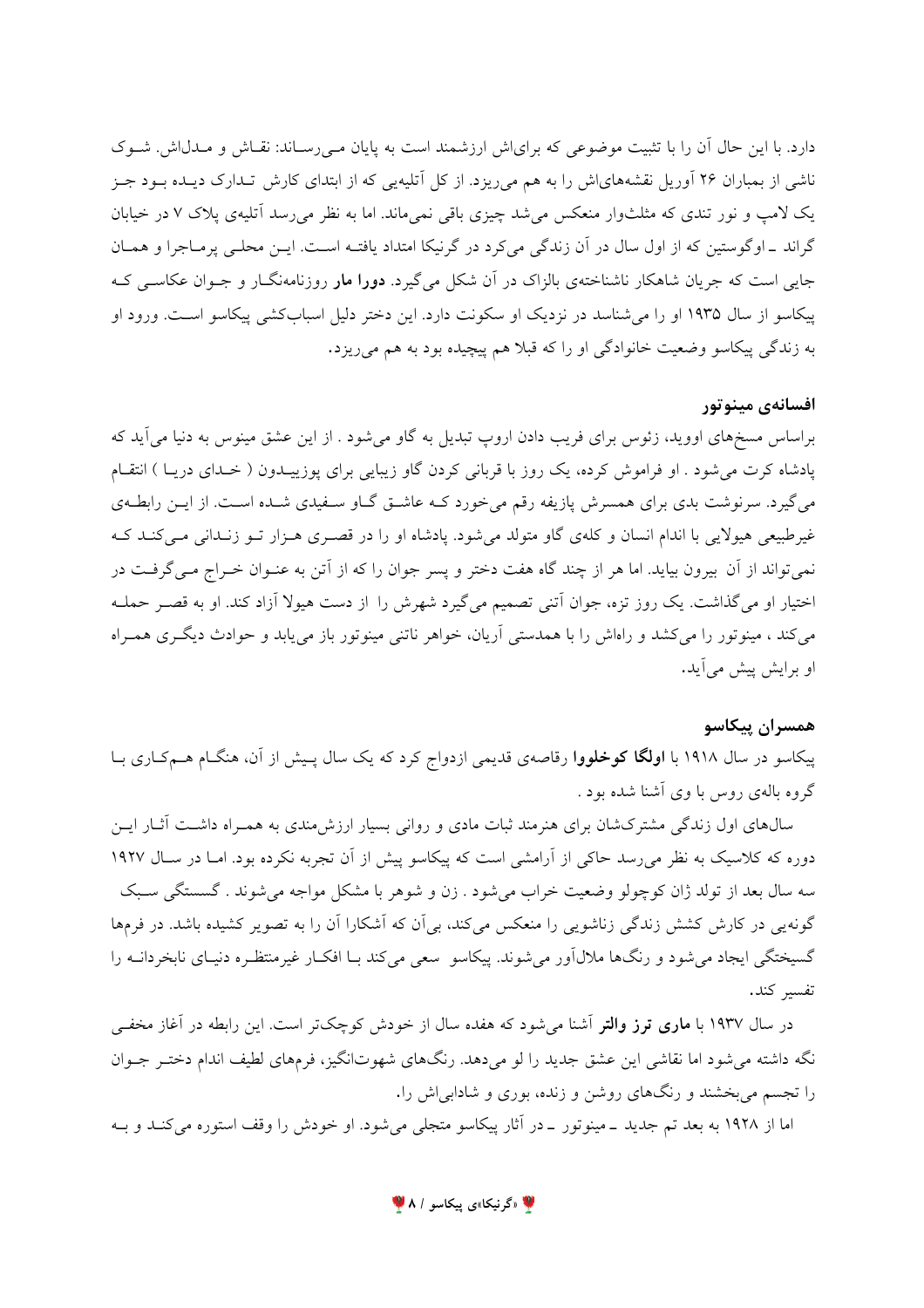دارد. با این حال آن را با تثبیت موضوعی که برای اش ارزشمند است به پایان مـی(سـاند: نقـاش و مـدل(ش. شـوک ناشی از بمباران ۲۶ آوریل نقشههایاش را به هم میریزد. از کل آتلیهیی که از ابتدای کارش تـدارک دیـده بــود جــز یک لامپ و نور تندی که مثلثوار منعکس می شد چیزی باقی نمی ماند. اما به نظر می رسد آتلیهی پلاک ۷ در خیابان گراند \_اوگوستین که از اول سال در آن زندگی میکرد در گرنیکا امتداد یافتـه اسـت. ایـن محلـی پرمـاجرا و همـان جایی است که جریان شاهکار ناشناختهی بالزاک در آن شکل میگیرد. **دورا مار** روزنامهنگــار و جــوان عکاســی کــه پیکاسو از سال ۱۹۳۵ او را می شناسد در نزدیک او سکونت دارد. این دختر دلیل اسبابکشی پیکاسو است. ورود او به زندگی پیکاسو وضعیت خانوادگی او را که قبلا هم پیچیده بود به هم می ریزد.

#### افسانەي مينوتور

براساس مسخهای اووید، زئوس برای فریب دادن اروپ تبدیل به گاو می شود . از این عشق مینوس به دنیا می آید که یادشاه کرت می شود . او فراموش کرده، یک روز با قربانی کردن گاو زیبایی برای یوزییـدون ( خـدای دریـا ) انتقـام میگیرد. سرنوشت بدی برای همسرش پازیفه رقم میخورد کـه عاشـق گـاو سـفیدی شـده اسـت. از ایـن رابطـهی غیرطبیعی هیولایی با اندام انسان و کلهی گاو متولد می شود. یادشاه او را در قصـری هـزار تـو زنـدانی مـی کنـد کـه نمي تواند از آن بيرون بيايد. اما هر از چند گاه هفت دختر و پسر جوان را كه از آتن به عنـوان خـراج مـي گرفـت در اختیار او می گذاشت. یک روز تزه، جوان آتنی تصمیم می گیرد شهرش را از دست هیولا آزاد کند. او به قصـر حملـه می کند ، مینوتور را می کشد و راهاش را با همدستی آریان، خواهر ناتنی مینوتور باز می یابد و حوادث دیگری همـراه او برایش پیش میآید.

## همسران ييكاسو

پیکاسو در سال ۱۹۱۸ با **اولگا کوخلووا** رقاصهی قدیمی ازدواج کرد که یک سال پـیش از آن، هنگـام هـمکـاری بـا گروه بالهی روس با وی آشنا شده بود .

سالههای اول زندگی مشترکشان برای هنرمند ثبات مادی و روانی بسیار ارزش،مندی به همـراه داشـت آثـار ایـن دوره که کلاسیک به نظر می رسد حاکی از آرامشی است که پیکاسو پیش از آن تجربه نکرده بود. امـا در سـال ۱۹۲۷ سه سال بعد از تولد ژان کوچولو وضعیت خراب میشود . زن و شوهر با مشکل مواجه میشوند . گسستگی سـبک گونه یی در کارش کشش زندگی زناشویی را منعکس میکند، بی آن که آشکارا آن را به تصویر کشیده باشد. در فرمها گسیختگی ایجاد می شود و رنگها ملالآور می شوند. پیکاسو سعی میکند بـا افکـار غیرمنتظـره دنیـای نابخردانــه را تفسير كند.

در سال ۱۹۳۷ با م**اری ترز والتر** آشنا میشود که هفده سال از خودش کوچکتر است. این رابطه در آغاز مخف<sub>عی</sub> نگه داشته می شود اما نقاشی این عشق جدید را لو می دهد. رنگهای شهوتانگیز، فرمهای لطیف اندام دخت جوان را تجسم می بخشند و رنگهای روشن و زنده، بوری و شادابی اش را.

اما از ۱۹۲۸ به بعد تم جدید ــ مینوتور ــ در آثار پیکاسو متجلبی میشود. او خودش را وقف استوره میکنــد و بــه

**لگ** «گرنیکا»ی پیکاسو / ۸ پا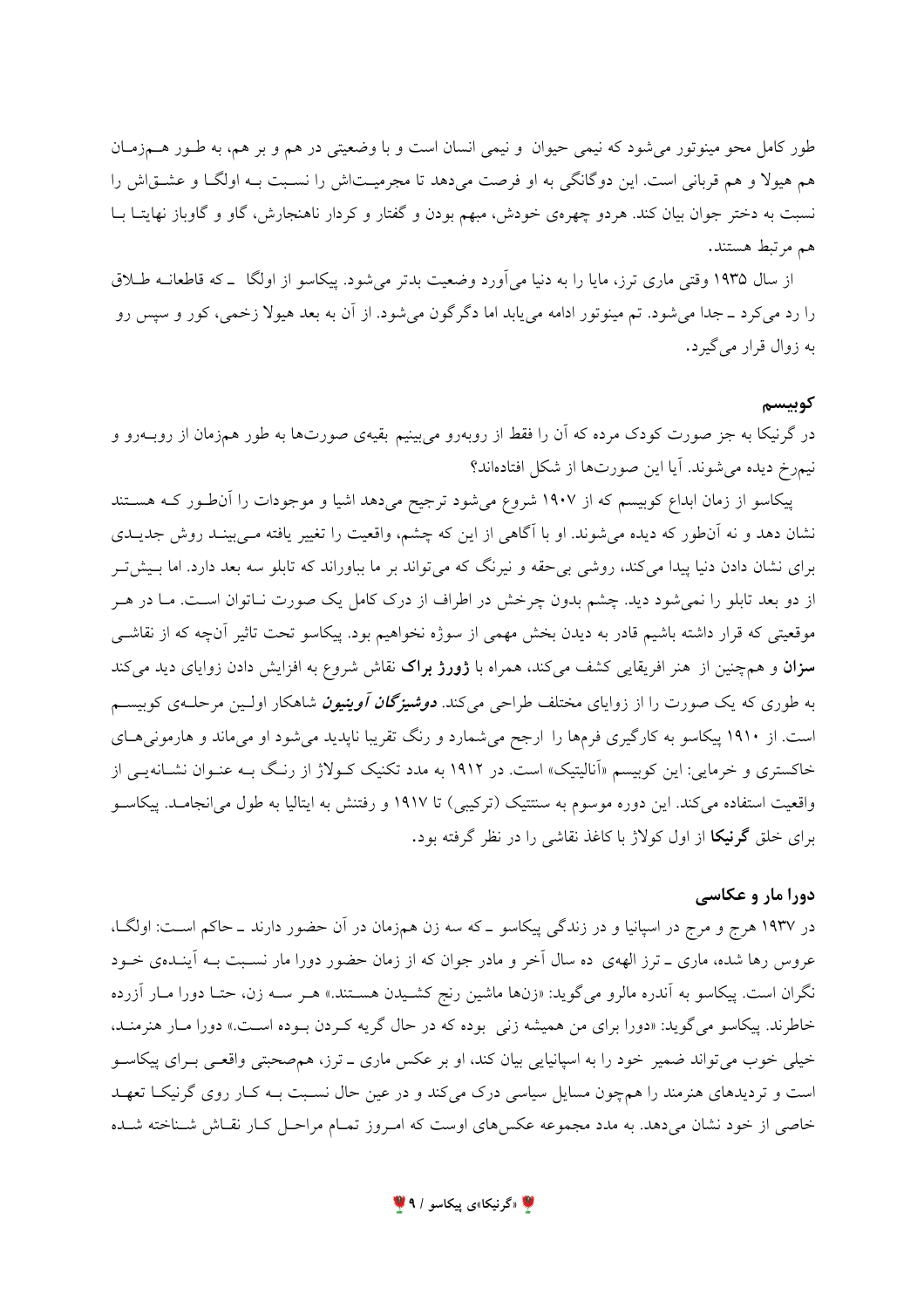طور کامل محو مینوتور میشود که نیمی حیوان و نیمی انسان است و با وضعیتی در هم و بر هم، به طـور هــمزمـان هم هیولا و هم قربانی است. این دوگانگی به او فرصت میدهد تا مجرمیـتاش را نسـبت بـه اولگـا و عشــقاش را نسبت به دختر جوان بیان کند. هردو چهرهی خودش، مبهم بودن و گفتار و کردار ناهنجارش، گاو و گاوباز نهایتـا بــا هم مرتبط هستند.

از سال ۱۹۳۵ وقتی ماری ترز، مایا را به دنیا می[ورد وضعیت بدتر می شود. پیکاسو از اولگا \_که قاطعانــه طــلاق را رد می کرد ــ جدا می شود. تم مینوتور ادامه می یابد اما دگرگون می شود. از آن به بعد هیولا زخمی، کور و سپس رو به زوال قرار می گیرد.

#### كوبىسم

در گرنیکا به جز صورت کودک مرده که آن را فقط از روبهرو میبینیم بقیهی صورتها به طور همزمان از روبــهرو و نیمرخ دیده می شوند. آیا این صورتها از شکل افتادهاند؟

پیکاسو از زمان ابداع کوبیسم که از ۱۹۰۷ شروع میشود ترجیح میدهد اشیا و موجودات را آن طور کـه هسـتند نشان دهد و نه آنطور که دیده می شوند. او با آگاهی از این که چشم، واقعیت را تغییر یافته مـیبینـد روش جدیـدی برای نشان دادن دنیا پیدا میکند، روشی بی حقه و نیرنگ که می تواند بر ما بباوراند که تابلو سه بعد دارد. اما بـیش تـر از دو بعد تابلو را نمیشود دید. چشم بدون چرخش در اطراف از درک کامل یک صورت نـاتوان اسـت. مـا در هـر موقعیتی که قرار داشته باشیم قادر به دیدن بخش مهمی از سوژه نخواهیم بود. پیکاسو تحت تاثیر آنچه که از نقاشــی **سزان** و همچنین از هنر افریقایی کشف میکند، همراه با **ژورژ براک** نقاش شروع به افزایش دادن زوایای دید میکند به طوری که یک صورت را از زوایای مختلف طراحی میکند. **د***وشیزگان آوینیون* شاهکار اولـین مرحلـهی کوبیسـم است. از ۱۹۱۰ پیکاسو به کارگیری فرمها را ارجح میشمارد و رنگ تقریبا ناپدید می شود او میماند و هارمونی هـای خاکستری و خرمایی: این کوبیسم «اَنالیتیک» است. در ۱۹۱۲ به مدد تکنیک کـولاژ از رنـگ بـه عنـوان نشـانهیـی از واقعیت استفاده میکند. این دوره موسوم به سنتتیک (ترکیبی) تا ۱۹۱۷ و رفتنش به ایتالیا به طول می انجامـد. پیکاســو برای خلق گرنیکا از اول کولاژ با کاغذ نقاشی را در نظر گرفته بود.

## دورا مار و عکاسی

در ۱۹۳۷ هرج و مرج در اسپانیا و در زندگی پیکاسو ــ که سه زن همزمان در آن حضور دارند ــ حاکم اسـت: اولگــا، عروس رها شده، ماری ـ ترز الههی ده سال آخر و مادر جوان که از زمان حضور دورا مار نسـبت بـه آینـدهی خـود نگران است. پیکاسو به آندره مالرو میگوید: «زنها ماشین رنج کشـیدن هسـتند.» هـر سـه زن، حتـا دورا مـار آزرده خاطرند. پیکاسو می گوید: «دورا برای من همیشه زنی بوده که در حال گریه کـردن بـوده اسـت.» دورا مـار هنرمنـد، خیلی خوب می تواند ضمیر خود را به اسپانیایی بیان کند، او بر عکس ماری ـ ترز، همصحبتی واقعـی بـرای پیکاســو است و تردیدهای هنرمند را همچون مسایل سیاسی درک میکند و در عین حال نسـبت بــه کــار روی گرنیکــا تعهــد خاصی از خود نشان میدهد. به مدد مجموعه عکسهای اوست که امـروز تمـام مراحـل کـار نقـاش شـناخته شـده

4 «گرنیکا»ی پیکاسو / ۹ <mark>پ</mark>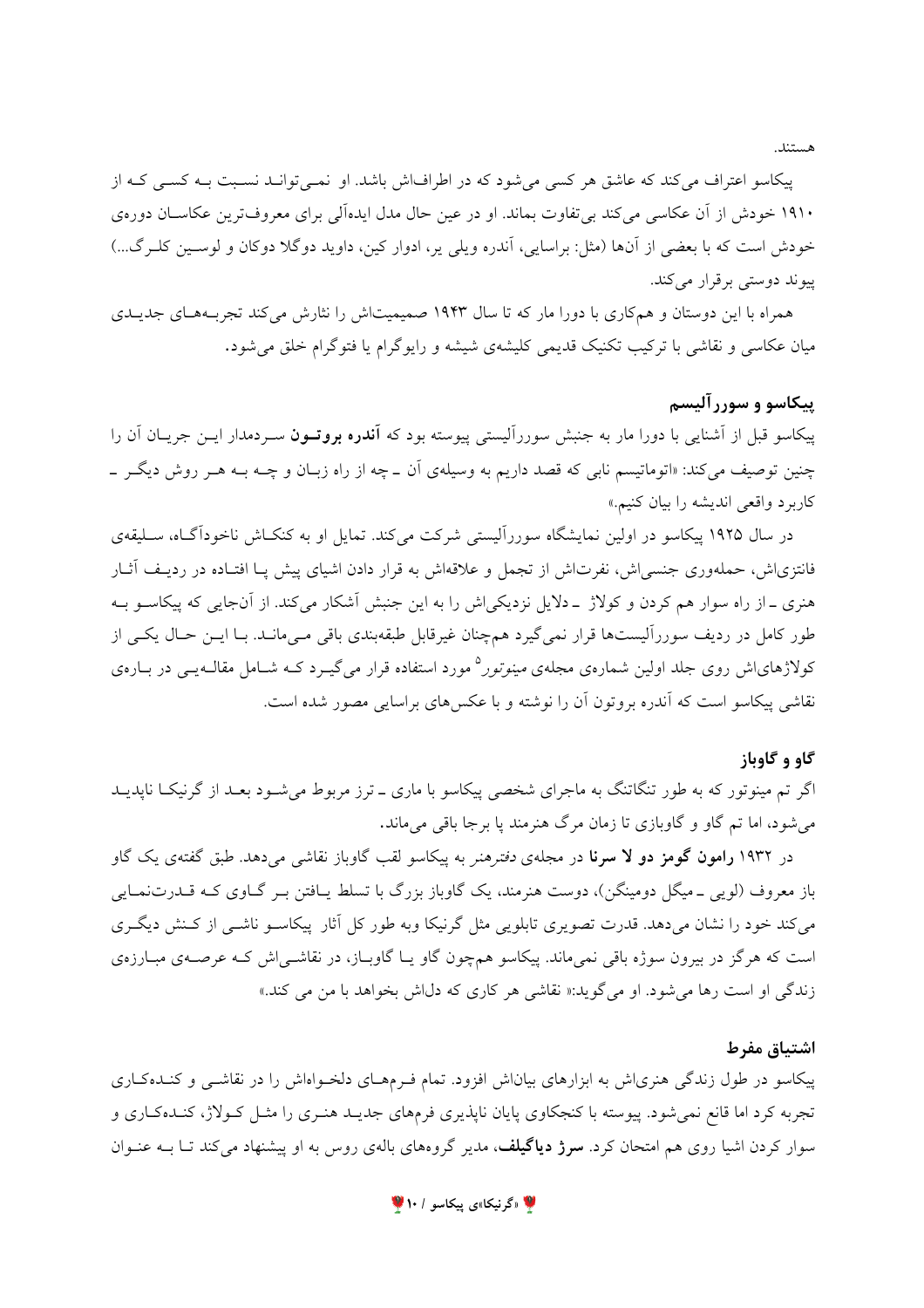هستند.

پیکاسو اعتراف می کند که عاشق هر کسی می شود که در اطرافاش باشد. او نمبی توانید نسبت بـه کسبی کـه از ۱۹۱۰ خودش از آن عکاسی می کند بی تفاوت بماند. او در عین حال مدل ایدهآلی برای معروفترین عکاسـان دورهی خودش است که با بعضی از آنها (مثل: براسایی، آندره ویلی یر، ادوار کین، داوید دوگلا دوکان و لوسـین کلــرگ...) پیوند دوستی بر قرار می کند.

همراه با این دوستان و همکاری با دورا مار که تا سال ۱۹۴۳ صمیمیتاش را نثارش میکند تجربـههـای جدیــدی میان عکاسی و نقاشی با ترکیب تکنیک قدیمی کلیشهی شیشه و رایوگرام یا فتوگرام خلق می شود.

## پیکاسو و سوررآلیسم

پیکاسو قبل از آشنایی با دورا مار به جنبش سوررآلیستی پیوسته بود که **آندره بروتــون** سـردمدار ایــن جریــان آن را چنین توصیف می کند: «اتوماتیسم نابی که قصد داریم به وسیلهی آن \_ چه از راه زبـان و چــه بــه هــر روش دیگــر \_ كاربرد واقعي انديشه را بيان كنيم.»

در سال ۱۹۲۵ پیکاسو در اولین نمایشگاه سوررآلیستی شرکت می کند. تمایل او به کنکIش ناخودآگـاه، ســلیقهی فانتزی(ش، حملهوری جنسی(ش، نفرت(ش از تجمل و علاقه(ش به قرار دادن اشیای پیش پـا افتـاده در ردیـف آثـار هنری ـ از راه سوار هم کردن و کولاژ ـ دلایل نزدیکی اش را به این جنبش آشکار می کند. از آنجایی که پیکاسـو بــه طور کامل در ردیف سوررآلیستها قرار نمی گیرد همچنان غیرقابل طبقهبندی باقی مےمانـد. بـا ایــن حـال یکــی از کولاژهایاش روی جلد اولین شمارهی مجلهی *مینوتور*° مورد استفاده قرار میگیـرد کـه شـامل مقالــهیــی در بــارهی نقاشی پیکاسو است که آندره بروتون آن را نوشته و با عکس های براسایی مصور شده است.

#### گاو و گاوباز

اگر تم مینوتور که به طور تنگاتنگ به ماجرای شخصی پیکاسو با ماری ـ ترز مربوط می شـود بعـد از گرنیکـا ناپدیـد می شود، اما تم گاو و گاوبازی تا زمان مرگ هنرمند یا برجا باقی می ماند.

در ۱۹۳۲ **رامون گومز دو لا سرنا** در مجلهی *دفترهنر* به پیکاسو لقب گاوباز نقاشی میدهد. طبق گفتهی یک گاو باز معروف (لوپی ۔میگل دومینگن)، دوست هنرمند، یک گاوباز بزرگ با تسلط پـافتن بـر گــاوی کــه قــدرتنمــایی می کند خود را نشان میدهد. قدرت تصویری تابلویی مثل گرنیکا وبه طور کل آثار پیکاسـو ناشـی از کـنش دیگـری است که هرگز در بیرون سوژه باقی نمیماند. پیکاسو همچون گاو یـا گاوبـاز، در نقاشــی|ش کـه عرصــهی مبـارزهی زندگی او است رها می شود. او می گوید:« نقاشی هر کاری که دل اش بخواهد با من می کند.»

## اشتياق مفرط

پیکاسو در طول زندگی هنری ش به ابزارهای بیان ش افزود. تمام فـرمهـای دلخـواهاش را در نقاشـی و کنـدهکـاری تجربه کرد اما قانع نمیشود. پیوسته با کنجکاوی پایان ناپذیری فرمهای جدیـد هنـری را مثـل کـولاژ، کنـدهکـاری و سوار کردن اشیا روی هم امتحان کرد. **سرژ دیاگیلف**، مدیر گروههای بالهی روس به او پیشنهاد میکند تـا بــه عنــوان

۱۰ اگرنیکا»ی پیکاسو / ۱۰